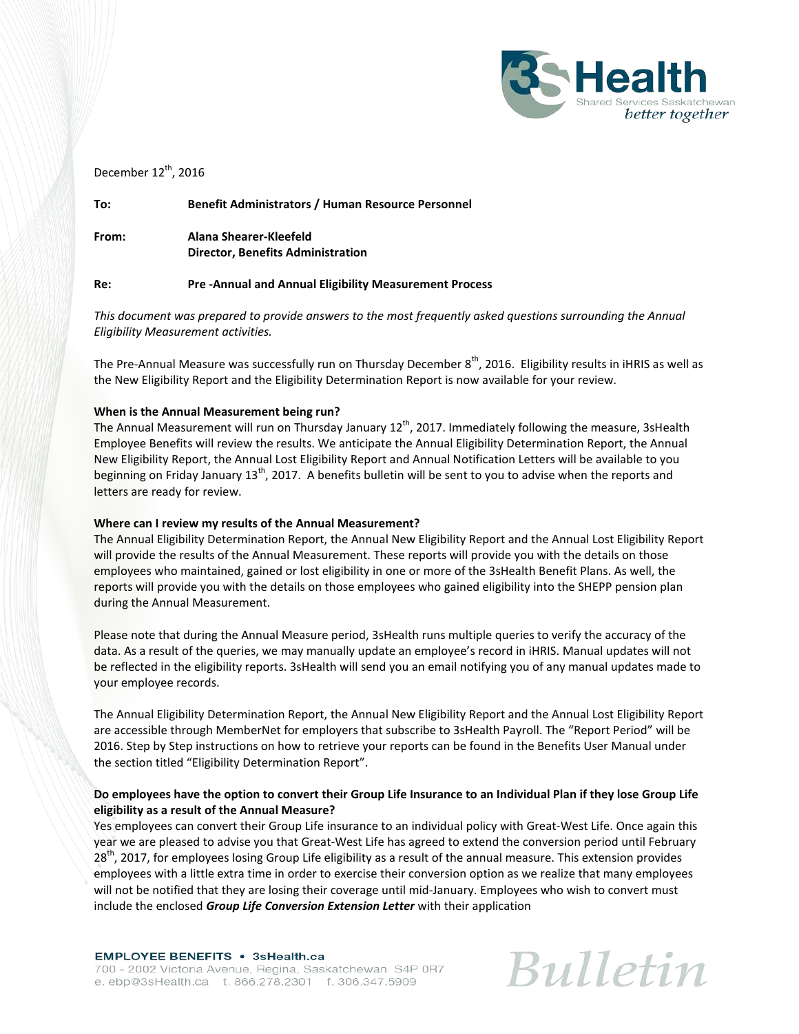

## December  $12^{th}$ , 2016

**To: Benefit Administrators / Human Resource Personnel**

**From: Alana Shearer-Kleefeld Director, Benefits Administration**

#### **Re: Pre -Annual and Annual Eligibility Measurement Process**

*This document was prepared to provide answers to the most frequently asked questions surrounding the Annual Eligibility Measurement activities.* 

The Pre-Annual Measure was successfully run on Thursday December  $8<sup>th</sup>$ , 2016. Eligibility results in iHRIS as well as the New Eligibility Report and the Eligibility Determination Report is now available for your review.

#### **When is the Annual Measurement being run?**

The Annual Measurement will run on Thursday January 12<sup>th</sup>, 2017. Immediately following the measure, 3sHealth Employee Benefits will review the results. We anticipate the Annual Eligibility Determination Report, the Annual New Eligibility Report, the Annual Lost Eligibility Report and Annual Notification Letters will be available to you beginning on Friday January  $13^{th}$ , 2017. A benefits bulletin will be sent to you to advise when the reports and letters are ready for review.

#### **Where can I review my results of the Annual Measurement?**

The Annual Eligibility Determination Report, the Annual New Eligibility Report and the Annual Lost Eligibility Report will provide the results of the Annual Measurement. These reports will provide you with the details on those employees who maintained, gained or lost eligibility in one or more of the 3sHealth Benefit Plans. As well, the reports will provide you with the details on those employees who gained eligibility into the SHEPP pension plan during the Annual Measurement.

Please note that during the Annual Measure period, 3sHealth runs multiple queries to verify the accuracy of the data. As a result of the queries, we may manually update an employee's record in iHRIS. Manual updates will not be reflected in the eligibility reports. 3sHealth will send you an email notifying you of any manual updates made to your employee records.

The Annual Eligibility Determination Report, the Annual New Eligibility Report and the Annual Lost Eligibility Report are accessible through MemberNet for employers that subscribe to 3sHealth Payroll. The "Report Period" will be 2016. Step by Step instructions on how to retrieve your reports can be found in the Benefits User Manual under the section titled "Eligibility Determination Report".

## **Do employees have the option to convert their Group Life Insurance to an Individual Plan if they lose Group Life eligibility as a result of the Annual Measure?**

Yes employees can convert their Group Life insurance to an individual policy with Great-West Life. Once again this year we are pleased to advise you that Great-West Life has agreed to extend the conversion period until February  $28<sup>th</sup>$ , 2017, for employees losing Group Life eligibility as a result of the annual measure. This extension provides employees with a little extra time in order to exercise their conversion option as we realize that many employees will not be notified that they are losing their coverage until mid-January. Employees who wish to convert must include the enclosed *Group Life Conversion Extension Letter* with their application

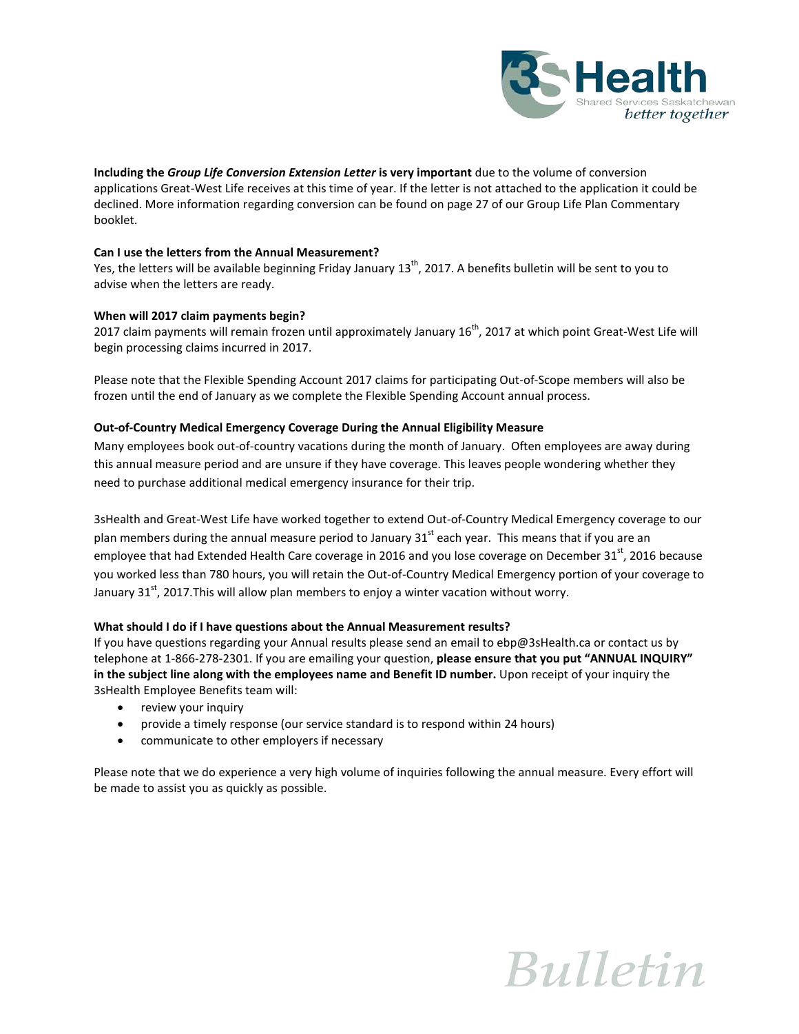

**Including the** *Group Life Conversion Extension Letter* **is very important** due to the volume of conversion applications Great-West Life receives at this time of year. If the letter is not attached to the application it could be declined. More information regarding conversion can be found on page 27 of our Group Life Plan Commentary booklet.

#### **Can I use the letters from the Annual Measurement?**

Yes, the letters will be available beginning Friday January  $13<sup>th</sup>$ , 2017. A benefits bulletin will be sent to you to advise when the letters are ready.

#### **When will 2017 claim payments begin?**

2017 claim payments will remain frozen until approximately January 16<sup>th</sup>, 2017 at which point Great-West Life will begin processing claims incurred in 2017.

Please note that the Flexible Spending Account 2017 claims for participating Out-of-Scope members will also be frozen until the end of January as we complete the Flexible Spending Account annual process.

#### **Out-of-Country Medical Emergency Coverage During the Annual Eligibility Measure**

Many employees book out-of-country vacations during the month of January. Often employees are away during this annual measure period and are unsure if they have coverage. This leaves people wondering whether they need to purchase additional medical emergency insurance for their trip.

3sHealth and Great-West Life have worked together to extend Out-of-Country Medical Emergency coverage to our plan members during the annual measure period to January  $31<sup>st</sup>$  each year. This means that if you are an employee that had Extended Health Care coverage in 2016 and you lose coverage on December 31<sup>st</sup>, 2016 because you worked less than 780 hours, you will retain the Out-of-Country Medical Emergency portion of your coverage to January 31<sup>st</sup>, 2017.This will allow plan members to enjoy a winter vacation without worry.

#### **What should I do if I have questions about the Annual Measurement results?**

If you have questions regarding your Annual results please send an email to ebp@3sHealth.ca or contact us by telephone at 1-866-278-2301. If you are emailing your question, **please ensure that you put "ANNUAL INQUIRY" in the subject line along with the employees name and Benefit ID number.** Upon receipt of your inquiry the 3sHealth Employee Benefits team will:

- review your inquiry
- provide a timely response (our service standard is to respond within 24 hours)
- communicate to other employers if necessary

Please note that we do experience a very high volume of inquiries following the annual measure. Every effort will be made to assist you as quickly as possible.

# **Bulletin**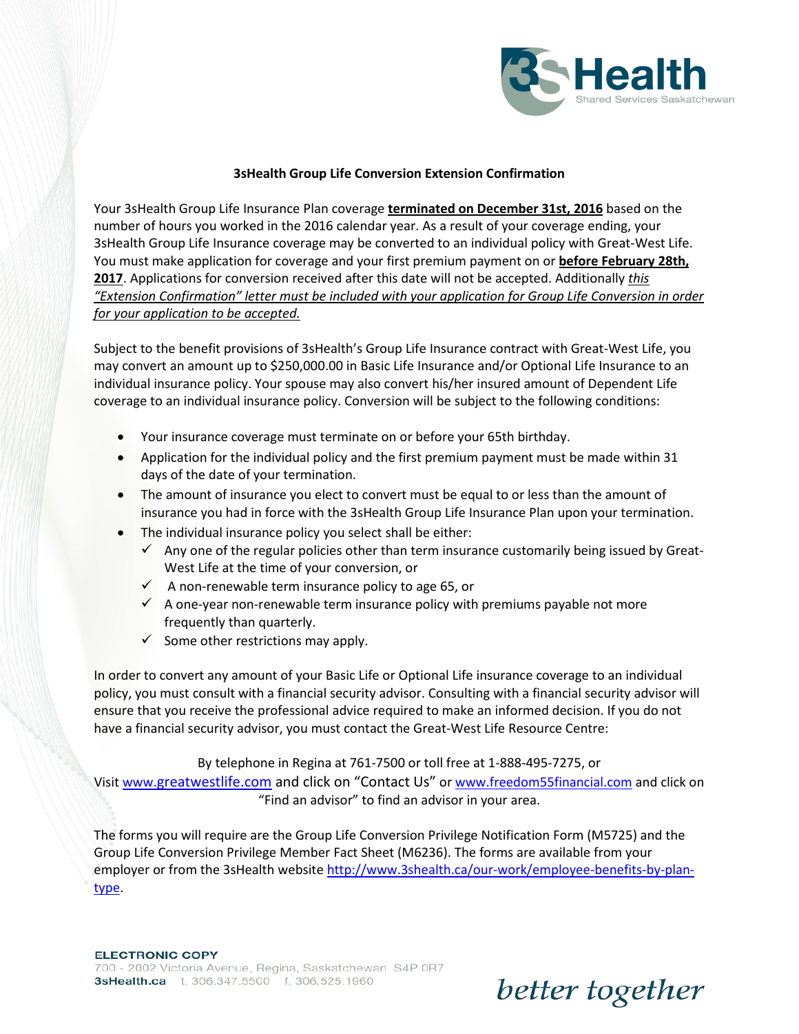

## **3sHealth Group Life Conversion Extension Confirmation**

Your 3sHealth Group Life Insurance Plan coverage **terminated on December 31st, 2016** based on the number of hours you worked in the 2016 calendar year. As a result of your coverage ending, your 3sHealth Group Life Insurance coverage may be converted to an individual policy with Great-West Life. You must make application for coverage and your first premium payment on or **before February 28th, 2017**. Applications for conversion received after this date will not be accepted. Additionally *this "Extension Confirmation" letter must be included with your application for Group Life Conversion in order for your application to be accepted.* 

Subject to the benefit provisions of 3sHealth's Group Life Insurance contract with Great-West Life, you may convert an amount up to \$250,000.00 in Basic Life Insurance and/or Optional Life Insurance to an individual insurance policy. Your spouse may also convert his/her insured amount of Dependent Life coverage to an individual insurance policy. Conversion will be subject to the following conditions:

- Your insurance coverage must terminate on or before your 65th birthday.
- Application for the individual policy and the first premium payment must be made within 31 days of the date of your termination.
- The amount of insurance you elect to convert must be equal to or less than the amount of insurance you had in force with the 3sHealth Group Life Insurance Plan upon your termination.
- The individual insurance policy you select shall be either:
	- $\checkmark$  Any one of the regular policies other than term insurance customarily being issued by Great-West Life at the time of your conversion, or
	- $\checkmark$  A non-renewable term insurance policy to age 65, or
	- $\checkmark$  A one-year non-renewable term insurance policy with premiums payable not more frequently than quarterly.
	- $\checkmark$  Some other restrictions may apply.

In order to convert any amount of your Basic Life or Optional Life insurance coverage to an individual policy, you must consult with a financial security advisor. Consulting with a financial security advisor will ensure that you receive the professional advice required to make an informed decision. If you do not have a financial security advisor, you must contact the Great-West Life Resource Centre:

By telephone in Regina at 761-7500 or toll free at 1-888-495-7275, or

Visit [www.greatwestlife.com](http://www.greatwestlife.com/) and click on "Contact Us" or [www.freedom55financial.com](http://www.freedom55financial.com/) and click on "Find an advisor" to find an advisor in your area.

The forms you will require are the Group Life Conversion Privilege Notification Form (M5725) and the Group Life Conversion Privilege Member Fact Sheet (M6236). The forms are available from your employer or from the 3sHealth websit[e http://www.3shealth.ca/our-work/employee-benefits-by-plan](http://www.3shealth.ca/our-work/employee-benefits-by-plan-type)[type.](http://www.3shealth.ca/our-work/employee-benefits-by-plan-type)

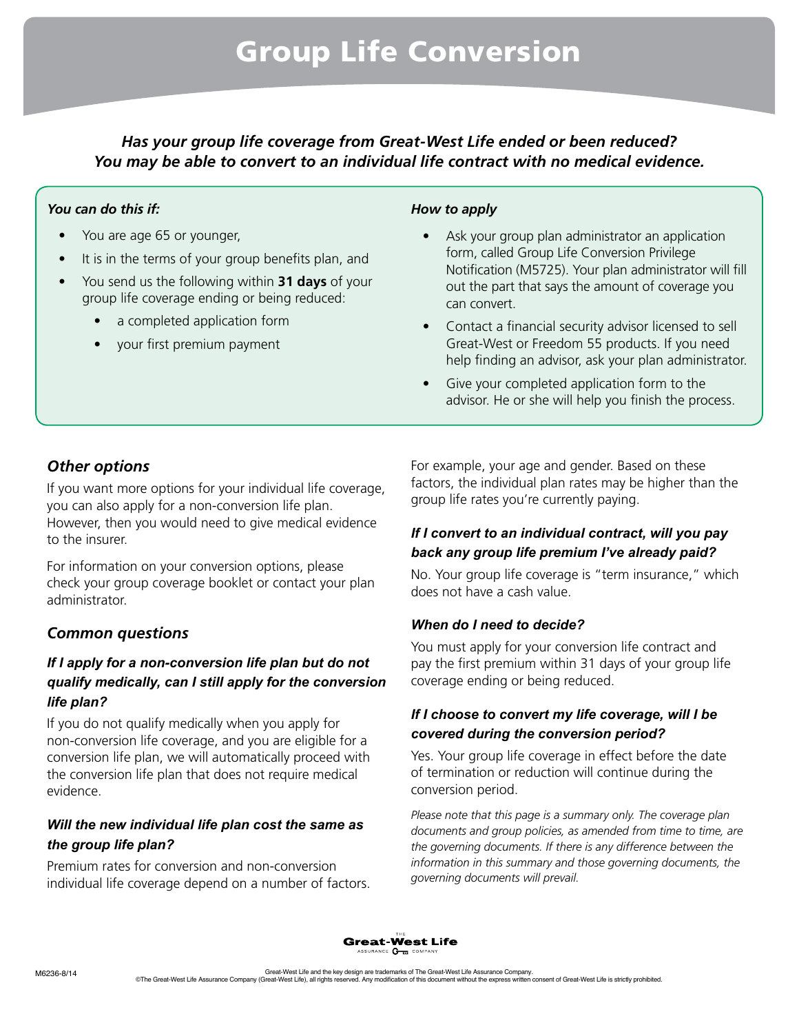*Has your group life coverage from Great-West Life ended or been reduced? You may be able to convert to an individual life contract with no medical evidence.*

## *You can do this if:*

- You are age 65 or younger,
- It is in the terms of your group benefits plan, and
- You send us the following within **31 days** of your group life coverage ending or being reduced:
	- a completed application form
	- your first premium payment

## *How to apply*

- Ask your group plan administrator an application form, called Group Life Conversion Privilege Notification (M5725). Your plan administrator will fill out the part that says the amount of coverage you can convert.
- Contact a financial security advisor licensed to sell Great-West or Freedom 55 products. If you need help finding an advisor, ask your plan administrator.
- Give your completed application form to the advisor. He or she will help you finish the process.

## *Other options*

If you want more options for your individual life coverage, you can also apply for a non-conversion life plan. However, then you would need to give medical evidence to the insurer.

For information on your conversion options, please check your group coverage booklet or contact your plan administrator.

## *Common questions*

## *If I apply for a non-conversion life plan but do not qualify medically, can I still apply for the conversion life plan?*

If you do not qualify medically when you apply for non-conversion life coverage, and you are eligible for a conversion life plan, we will automatically proceed with the conversion life plan that does not require medical evidence.

## *Will the new individual life plan cost the same as the group life plan?*

Premium rates for conversion and non-conversion individual life coverage depend on a number of factors. For example, your age and gender. Based on these factors, the individual plan rates may be higher than the group life rates you're currently paying.

## *If I convert to an individual contract, will you pay back any group life premium I've already paid?*

No. Your group life coverage is "term insurance," which does not have a cash value.

## *When do I need to decide?*

You must apply for your conversion life contract and pay the first premium within 31 days of your group life coverage ending or being reduced.

## *If I choose to convert my life coverage, will I be covered during the conversion period?*

Yes. Your group life coverage in effect before the date of termination or reduction will continue during the conversion period.

*Please note that this page is a summary only. The coverage plan documents and group policies, as amended from time to time, are the governing documents. If there is any difference between the information in this summary and those governing documents, the governing documents will prevail.*